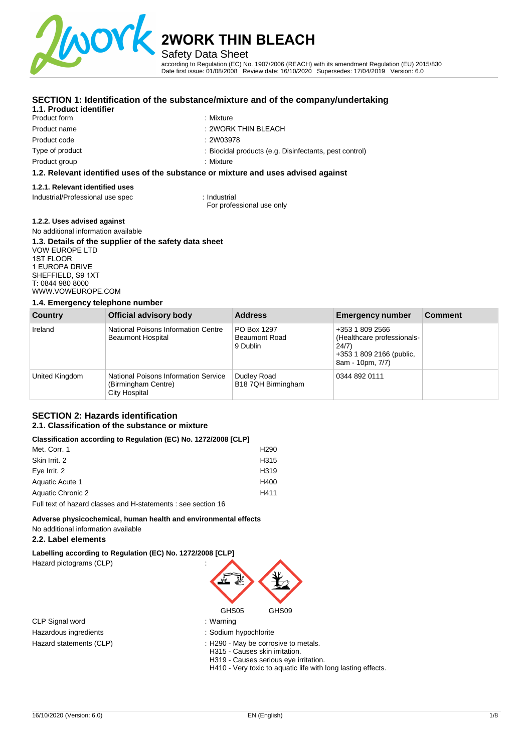

Safety Data Sheet

according to Regulation (EC) No. 1907/2006 (REACH) with its amendment Regulation (EU) 2015/830 Date first issue: 01/08/2008 Review date: 16/10/2020 Supersedes: 17/04/2019 Version: 6.0

## **SECTION 1: Identification of the substance/mixture and of the company/undertaking**

## **1.1. Product identifier**

Product form Product name Product code Type of product

Product group

- : Mixture
- : 2WORK THIN BLEACH
- : 2W03978
	- : Biocidal products (e.g. Disinfectants, pest control)
- : Mixture

#### **1.2. Relevant identified uses of the substance or mixture and uses advised against**

### **1.2.1. Relevant identified uses**

Industrial/Professional use spec : Industrial

For professional use only

### **1.2.2. Uses advised against**

#### No additional information available **1.3. Details of the supplier of the safety data sheet**  VOW EUROPE LTD 1ST FLOOR 1 EUROPA DRIVE SHEFFIELD, S9 1XT T: 0844 980 8000 [WWW.VOWEUROPE.COM](mailto:info@cloverchemicals.com)

#### **1.4. Emergency telephone number**

| <b>Country</b> | Official advisory body                                                       | <b>Address</b>                                  | <b>Emergency number</b>                                                                                | <b>Comment</b> |
|----------------|------------------------------------------------------------------------------|-------------------------------------------------|--------------------------------------------------------------------------------------------------------|----------------|
| Ireland        | National Poisons Information Centre<br><b>Beaumont Hospital</b>              | PO Box 1297<br><b>Beaumont Road</b><br>9 Dublin | +353 1 809 2566<br>(Healthcare professionals-<br>24/7)<br>+353 1 809 2166 (public,<br>8am - 10pm, 7/7) |                |
| United Kingdom | National Poisons Information Service<br>(Birmingham Centre)<br>City Hospital | Dudley Road<br>B18 7QH Birmingham               | 0344 892 0111                                                                                          |                |

#### **SECTION 2: Hazards identification 2.1. Classification of the substance or mixture**

#### **Classification according to Regulation (EC) No. 1272/2008 [CLP]**

| Met. Corr. 1                                                  | H <sub>290</sub> |
|---------------------------------------------------------------|------------------|
| Skin Irrit, 2                                                 | H <sub>315</sub> |
| Eye Irrit. 2                                                  | H <sub>319</sub> |
| Aquatic Acute 1                                               | H400             |
| Aquatic Chronic 2                                             | H411             |
| Full text of hazard classes and H-statements : see section 16 |                  |

### **Adverse physicochemical, human health and environmental effects**

## No additional information available

### **2.2. Label elements**

**Labelling according to Regulation (EC) No. 1272/2008 [CLP]** 

Hazard pictograms (CLP) :

CLP Signal word : Warning Hazardous ingredients in the state of the state of the Sodium hypochlorite



- 
- 
- Hazard statements (CLP) **interpretentally** : H290 May be corrosive to metals.
	- H315 Causes skin irritation.
	- H319 Causes serious eye irritation.
	- H410 Very toxic to aquatic life with long lasting effects.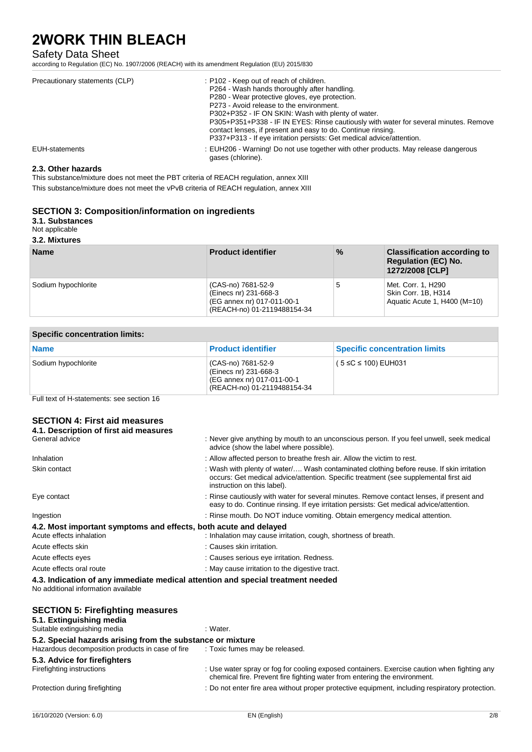## Safety Data Sheet

according to Regulation (EC) No. 1907/2006 (REACH) with its amendment Regulation (EU) 2015/830

| Precautionary statements (CLP) | : P102 - Keep out of reach of children.<br>P264 - Wash hands thoroughly after handling.<br>P280 - Wear protective gloves, eye protection.<br>P273 - Avoid release to the environment.<br>P302+P352 - IF ON SKIN: Wash with plenty of water.<br>P305+P351+P338 - IF IN EYES: Rinse cautiously with water for several minutes. Remove<br>contact lenses, if present and easy to do. Continue rinsing.<br>P337+P313 - If eye irritation persists: Get medical advice/attention. |
|--------------------------------|------------------------------------------------------------------------------------------------------------------------------------------------------------------------------------------------------------------------------------------------------------------------------------------------------------------------------------------------------------------------------------------------------------------------------------------------------------------------------|
| EUH-statements                 | : EUH206 - Warning! Do not use together with other products. May release dangerous<br>gases (chlorine).                                                                                                                                                                                                                                                                                                                                                                      |

#### **2.3. Other hazards**

This substance/mixture does not meet the PBT criteria of REACH regulation, annex XIII

This substance/mixture does not meet the vPvB criteria of REACH regulation, annex XIII

### **SECTION 3: Composition/information on ingredients**

### **3.1. Substances**

### Not applicable

**3.2. Mixtures** 

| <b>Name</b>         | <b>Product identifier</b>                                                                                | $\%$ | <b>Classification according to</b><br><b>Regulation (EC) No.</b><br>1272/2008 [CLP] |
|---------------------|----------------------------------------------------------------------------------------------------------|------|-------------------------------------------------------------------------------------|
| Sodium hypochlorite | (CAS-no) 7681-52-9<br>(Einecs nr) 231-668-3<br>(EG annex nr) 017-011-00-1<br>(REACH-no) 01-2119488154-34 | .5   | Met. Corr. 1, H290<br>Skin Corr. 1B, H314<br>Aquatic Acute 1, H400 (M=10)           |

| <b>Specific concentration limits:</b> |                                                                                                          |                                      |
|---------------------------------------|----------------------------------------------------------------------------------------------------------|--------------------------------------|
| <b>Name</b>                           | <b>Product identifier</b>                                                                                | <b>Specific concentration limits</b> |
| Sodium hypochlorite                   | (CAS-no) 7681-52-9<br>(Einecs nr) 231-668-3<br>(EG annex nr) 017-011-00-1<br>(REACH-no) 01-2119488154-34 | $(5 ≤ C ≤ 100)$ EUH031               |

Full text of H-statements: see section 16

## **SECTION 4: First aid measures**

| 4.1. Description of first aid measures                                                                                 |                                                                                                                                                                                                                 |
|------------------------------------------------------------------------------------------------------------------------|-----------------------------------------------------------------------------------------------------------------------------------------------------------------------------------------------------------------|
| General advice                                                                                                         | : Never give anything by mouth to an unconscious person. If you feel unwell, seek medical<br>advice (show the label where possible).                                                                            |
| Inhalation                                                                                                             | : Allow affected person to breathe fresh air. Allow the victim to rest.                                                                                                                                         |
| Skin contact                                                                                                           | : Wash with plenty of water/ Wash contaminated clothing before reuse. If skin irritation<br>occurs: Get medical advice/attention. Specific treatment (see supplemental first aid<br>instruction on this label). |
| Eye contact                                                                                                            | : Rinse cautiously with water for several minutes. Remove contact lenses, if present and<br>easy to do. Continue rinsing. If eye irritation persists: Get medical advice/attention.                             |
| Ingestion                                                                                                              | : Rinse mouth. Do NOT induce vomiting. Obtain emergency medical attention.                                                                                                                                      |
| 4.2. Most important symptoms and effects, both acute and delayed                                                       |                                                                                                                                                                                                                 |
| Acute effects inhalation                                                                                               | : Inhalation may cause irritation, cough, shortness of breath.                                                                                                                                                  |
| Acute effects skin                                                                                                     | : Causes skin irritation.                                                                                                                                                                                       |
| Acute effects eyes                                                                                                     | : Causes serious eye irritation. Redness.                                                                                                                                                                       |
| Acute effects oral route                                                                                               | : May cause irritation to the digestive tract.                                                                                                                                                                  |
| 4.3. Indication of any immediate medical attention and special treatment needed<br>No additional information available |                                                                                                                                                                                                                 |
| <b>SECTION 5: Firefighting measures</b><br>5.1. Extinguishing media<br>Suitable extinguishing media                    | : Water.                                                                                                                                                                                                        |
| 5.2. Special hazards arising from the substance or mixture                                                             |                                                                                                                                                                                                                 |
| Hazardous decomposition products in case of fire                                                                       | : Toxic fumes may be released.                                                                                                                                                                                  |
| 5.3. Advice for firefighters                                                                                           |                                                                                                                                                                                                                 |
| Firefighting instructions                                                                                              | : Use water spray or fog for cooling exposed containers. Exercise caution when fighting any<br>chemical fire. Prevent fire fighting water from entering the environment.                                        |
| Protection during firefighting                                                                                         | : Do not enter fire area without proper protective equipment, including respiratory protection.                                                                                                                 |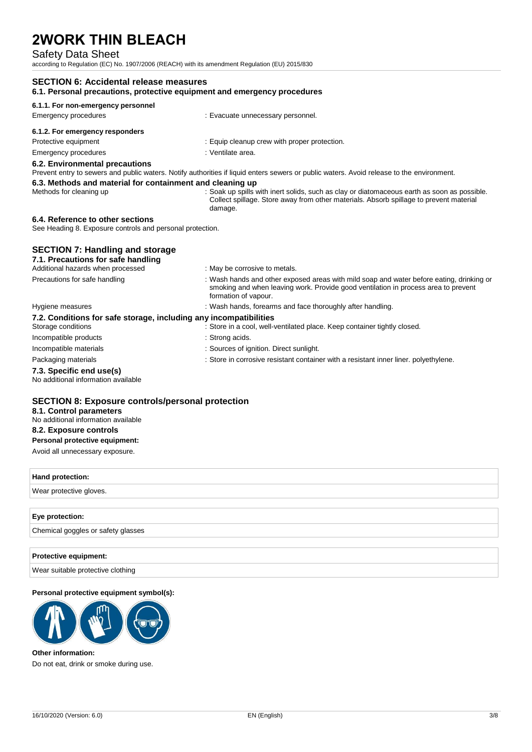## Safety Data Sheet

according to Regulation (EC) No. 1907/2006 (REACH) with its amendment Regulation (EU) 2015/830

| 6.1.1. For non-emergency personnel                                                            |                                                                                                                                                                                                        |
|-----------------------------------------------------------------------------------------------|--------------------------------------------------------------------------------------------------------------------------------------------------------------------------------------------------------|
| <b>Emergency procedures</b>                                                                   | : Evacuate unnecessary personnel.                                                                                                                                                                      |
| 6.1.2. For emergency responders                                                               |                                                                                                                                                                                                        |
| Protective equipment                                                                          | : Equip cleanup crew with proper protection.                                                                                                                                                           |
| <b>Emergency procedures</b>                                                                   | : Ventilate area.                                                                                                                                                                                      |
| 6.2. Environmental precautions                                                                | Prevent entry to sewers and public waters. Notify authorities if liquid enters sewers or public waters. Avoid release to the environment.                                                              |
| 6.3. Methods and material for containment and cleaning up<br>Methods for cleaning up          | : Soak up spills with inert solids, such as clay or diatomaceous earth as soon as possible.<br>Collect spillage. Store away from other materials. Absorb spillage to prevent material<br>damage.       |
| 6.4. Reference to other sections<br>See Heading 8. Exposure controls and personal protection. |                                                                                                                                                                                                        |
| <b>SECTION 7: Handling and storage</b><br>7.1. Precautions for safe handling                  |                                                                                                                                                                                                        |
| Additional hazards when processed                                                             | : May be corrosive to metals.                                                                                                                                                                          |
| Precautions for safe handling                                                                 | : Wash hands and other exposed areas with mild soap and water before eating, drinking or<br>smoking and when leaving work. Provide good ventilation in process area to prevent<br>formation of vapour. |
| Hygiene measures                                                                              | : Wash hands, forearms and face thoroughly after handling.                                                                                                                                             |
| 7.2. Conditions for safe storage, including any incompatibilities                             |                                                                                                                                                                                                        |
| Storage conditions                                                                            | : Store in a cool, well-ventilated place. Keep container tightly closed.                                                                                                                               |
| Incompatible products                                                                         | : Strong acids.                                                                                                                                                                                        |
|                                                                                               | : Sources of ignition. Direct sunlight.                                                                                                                                                                |
| Incompatible materials                                                                        |                                                                                                                                                                                                        |
| Packaging materials                                                                           | : Store in corrosive resistant container with a resistant inner liner, polyethylene.                                                                                                                   |

### **SECTION 8: Exposure controls/personal protection**

**8.1. Control parameters** 

## No additional information available

## **8.2. Exposure controls**

**Personal protective equipment:**

Avoid all unnecessary exposure.

# **Hand protection:** Wear protective gloves.

### **Eye protection:**

Chemical goggles or safety glasses

#### **Protective equipment:**

Wear suitable protective clothing

#### **Personal protective equipment symbol(s):**



### **Other information:** Do not eat, drink or smoke during use.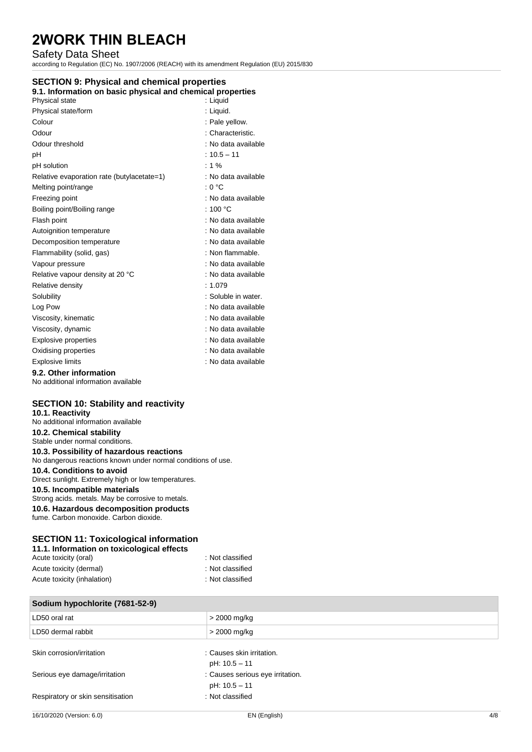## Safety Data Sheet

according to Regulation (EC) No. 1907/2006 (REACH) with its amendment Regulation (EU) 2015/830

## **SECTION 9: Physical and chemical properties**

| 9.1. Information on basic physical and chemical properties |  |  |
|------------------------------------------------------------|--|--|
|                                                            |  |  |

| Physical state                             | : Liquid            |
|--------------------------------------------|---------------------|
| Physical state/form                        | : Liquid.           |
| Colour                                     | : Pale yellow.      |
| Odour                                      | : Characteristic.   |
| Odour threshold                            | : No data available |
| рH                                         | $: 10.5 - 11$       |
| pH solution                                | $: 1 \%$            |
| Relative evaporation rate (butylacetate=1) | : No data available |
| Melting point/range                        | : 0 °C              |
| Freezing point                             | : No data available |
| Boiling point/Boiling range                | : 100 $^{\circ}$ C  |
| Flash point                                | : No data available |
| Autoignition temperature                   | : No data available |
| Decomposition temperature                  | : No data available |
| Flammability (solid, gas)                  | : Non flammable.    |
| Vapour pressure                            | : No data available |
| Relative vapour density at 20 °C           | : No data available |
| Relative density                           | : $1.079$           |
| Solubility                                 | : Soluble in water. |
| Log Pow                                    | : No data available |
| Viscosity, kinematic                       | : No data available |
| Viscosity, dynamic                         | : No data available |
| <b>Explosive properties</b>                | : No data available |
| Oxidising properties                       | : No data available |
| <b>Explosive limits</b>                    | : No data available |
| 9.2. Other information                     |                     |

No additional information available

### **SECTION 10: Stability and reactivity**

### **10.1. Reactivity**  No additional information available **10.2. Chemical stability**  Stable under normal conditions. **10.3. Possibility of hazardous reactions**  No dangerous reactions known under normal conditions of use. **10.4. Conditions to avoid**  Direct sunlight. Extremely high or low temperatures. **10.5. Incompatible materials**  Strong acids. metals. May be corrosive to metals. **10.6. Hazardous decomposition products**  fume. Carbon monoxide. Carbon dioxide.

### **SECTION 11: Toxicological information**

| 11.1. Information on toxicological effects |                  |
|--------------------------------------------|------------------|
| Acute toxicity (oral)                      | : Not classified |
| Acute toxicity (dermal)                    | : Not classified |
| Acute toxicity (inhalation)                | : Not classified |

| Sodium hypochlorite (7681-52-9)   |                                            |
|-----------------------------------|--------------------------------------------|
| LD50 oral rat                     | > 2000 mg/kg                               |
| LD50 dermal rabbit                | > 2000 mg/kg                               |
| Skin corrosion/irritation         | : Causes skin irritation.<br>pH: 10.5 - 11 |
| Serious eye damage/irritation     | : Causes serious eye irritation.           |
| Respiratory or skin sensitisation | pH: 10.5 - 11<br>: Not classified          |
|                                   |                                            |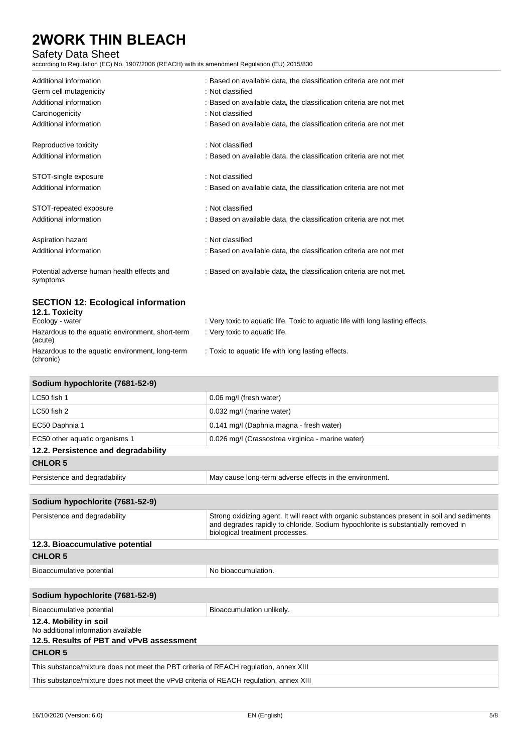## Safety Data Sheet

according to Regulation (EC) No. 1907/2006 (REACH) with its amendment Regulation (EU) 2015/830

| Additional information                                       | : Based on available data, the classification criteria are not met             |
|--------------------------------------------------------------|--------------------------------------------------------------------------------|
| Germ cell mutagenicity                                       | : Not classified                                                               |
| Additional information                                       | : Based on available data, the classification criteria are not met             |
| Carcinogenicity                                              | : Not classified                                                               |
| Additional information                                       | : Based on available data, the classification criteria are not met             |
| Reproductive toxicity                                        | : Not classified                                                               |
| Additional information                                       | : Based on available data, the classification criteria are not met             |
| STOT-single exposure                                         | : Not classified                                                               |
| Additional information                                       | : Based on available data, the classification criteria are not met             |
| STOT-repeated exposure                                       | : Not classified                                                               |
| Additional information                                       | : Based on available data, the classification criteria are not met             |
| Aspiration hazard                                            | : Not classified                                                               |
| Additional information                                       | : Based on available data, the classification criteria are not met             |
| Potential adverse human health effects and<br>symptoms       | : Based on available data, the classification criteria are not met.            |
| <b>SECTION 12: Ecological information</b><br>12.1. Toxicity  |                                                                                |
| Ecology - water                                              | : Very toxic to aquatic life. Toxic to aquatic life with long lasting effects. |
| Hazardous to the aquatic environment, short-term<br>(acute)  | : Very toxic to aquatic life.                                                  |
| Hazardous to the aquatic environment, long-term<br>(chronic) | : Toxic to aquatic life with long lasting effects.                             |

| Sodium hypochlorite (7681-52-9)     |                                                         |  |
|-------------------------------------|---------------------------------------------------------|--|
| LC50 fish 1                         | 0.06 mg/l (fresh water)                                 |  |
| LC50 fish 2                         | 0.032 mg/l (marine water)                               |  |
| EC50 Daphnia 1                      | 0.141 mg/l (Daphnia magna - fresh water)                |  |
| EC50 other aquatic organisms 1      | 0.026 mg/l (Crassostrea virginica - marine water)       |  |
| 12.2. Persistence and degradability |                                                         |  |
| <b>CHLOR 5</b>                      |                                                         |  |
| Persistence and degradability       | May cause long-term adverse effects in the environment. |  |

## **Sodium hypochlorite (7681-52-9)** Persistence and degradability Strong oxidizing agent. It will react with organic substances present in soil and sediments and degrades rapidly to chloride. Sodium hypochlorite is substantially removed in biological treatment processes. **12.3. Bioaccumulative potential CHLOR 5**  Bioaccumulative potential example of the No bioaccumulation.

## **Sodium hypochlorite (7681-52-9)** Bioaccumulative potential Bioaccumulation unlikely. **12.4. Mobility in soil**  No additional information available **12.5. Results of PBT and vPvB assessment**

**CHLOR 5**  This substance/mixture does not meet the PBT criteria of REACH regulation, annex XIII This substance/mixture does not meet the vPvB criteria of REACH regulation, annex XIII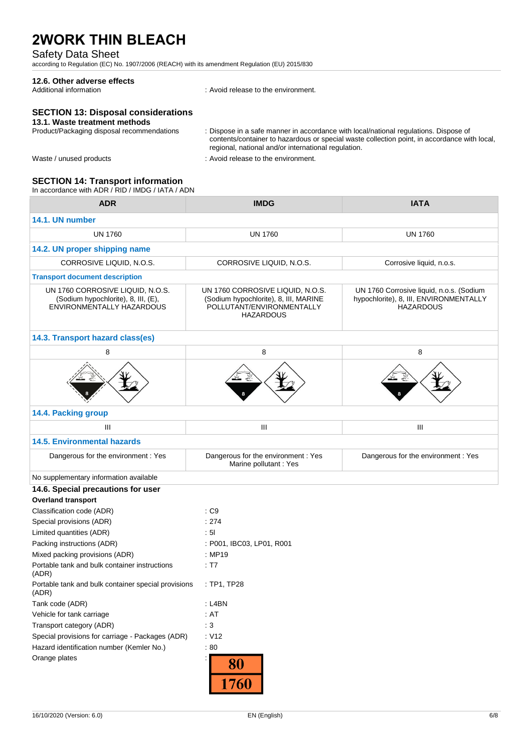## Safety Data Sheet

according to Regulation (EC) No. 1907/2006 (REACH) with its amendment Regulation (EU) 2015/830

# **12.6. Other adverse effects**

: Avoid release to the environment.

## **SECTION 13: Disposal considerations**

# 13.1. Waste treatment methods<br>Product/Packaging disposal recommendations

Product/Packaging disposal recommendations : Dispose in a safe manner in accordance with local/national regulations. Dispose of contents/container to hazardous or special waste collection point, in accordance with local, regional, national and/or international regulation.

- 
- Waste / unused products in the environment.

### **SECTION 14: Transport information**

In accordance with ADR / RID / IMDG / IATA / ADN

| <b>ADR</b>                                                                                           | <b>IMDG</b>                                                                                                                | <b>IATA</b>                                                                                            |
|------------------------------------------------------------------------------------------------------|----------------------------------------------------------------------------------------------------------------------------|--------------------------------------------------------------------------------------------------------|
| 14.1. UN number                                                                                      |                                                                                                                            |                                                                                                        |
| <b>UN 1760</b>                                                                                       | <b>UN 1760</b>                                                                                                             | <b>UN 1760</b>                                                                                         |
| 14.2. UN proper shipping name                                                                        |                                                                                                                            |                                                                                                        |
| CORROSIVE LIQUID, N.O.S.                                                                             | CORROSIVE LIQUID, N.O.S.                                                                                                   | Corrosive liquid, n.o.s.                                                                               |
| <b>Transport document description</b>                                                                |                                                                                                                            |                                                                                                        |
| UN 1760 CORROSIVE LIQUID, N.O.S.<br>(Sodium hypochlorite), 8, III, (E),<br>ENVIRONMENTALLY HAZARDOUS | UN 1760 CORROSIVE LIQUID, N.O.S.<br>(Sodium hypochlorite), 8, III, MARINE<br>POLLUTANT/ENVIRONMENTALLY<br><b>HAZARDOUS</b> | UN 1760 Corrosive liquid, n.o.s. (Sodium<br>hypochlorite), 8, III, ENVIRONMENTALLY<br><b>HAZARDOUS</b> |
| 14.3. Transport hazard class(es)                                                                     |                                                                                                                            |                                                                                                        |
| 8                                                                                                    | 8                                                                                                                          | 8                                                                                                      |
|                                                                                                      |                                                                                                                            |                                                                                                        |
| 14.4. Packing group                                                                                  |                                                                                                                            |                                                                                                        |
| Ш                                                                                                    | Ш                                                                                                                          | Ш                                                                                                      |
| <b>14.5. Environmental hazards</b>                                                                   |                                                                                                                            |                                                                                                        |
| Dangerous for the environment : Yes                                                                  | Dangerous for the environment : Yes<br>Marine pollutant: Yes                                                               | Dangerous for the environment : Yes                                                                    |
| No supplementary information available                                                               |                                                                                                                            |                                                                                                        |
| 14.6. Special precautions for user                                                                   |                                                                                                                            |                                                                                                        |
| <b>Overland transport</b>                                                                            |                                                                                                                            |                                                                                                        |
| Classification code (ADR)                                                                            | $\cdot$ C9                                                                                                                 |                                                                                                        |
| Special provisions (ADR)                                                                             | : 274                                                                                                                      |                                                                                                        |
| Limited quantities (ADR)                                                                             | : 51                                                                                                                       |                                                                                                        |
| Packing instructions (ADR)                                                                           | : P001, IBC03, LP01, R001                                                                                                  |                                                                                                        |
| Mixed packing provisions (ADR)<br>Portable tank and bulk container instructions<br>(ADR)             | : MP19<br>: T7                                                                                                             |                                                                                                        |
| Portable tank and bulk container special provisions<br>(ADR)                                         | : TP1, TP28                                                                                                                |                                                                                                        |
| Tank code (ADR)                                                                                      | : L4BN                                                                                                                     |                                                                                                        |
| Vehicle for tank carriage                                                                            | : $AT$                                                                                                                     |                                                                                                        |
| Transport category (ADR)                                                                             | : $3$                                                                                                                      |                                                                                                        |
| Special provisions for carriage - Packages (ADR)                                                     | : V12                                                                                                                      |                                                                                                        |
| Hazard identification number (Kemler No.)                                                            | :80                                                                                                                        |                                                                                                        |
| Orange plates                                                                                        | ÷.<br>80<br>1760                                                                                                           |                                                                                                        |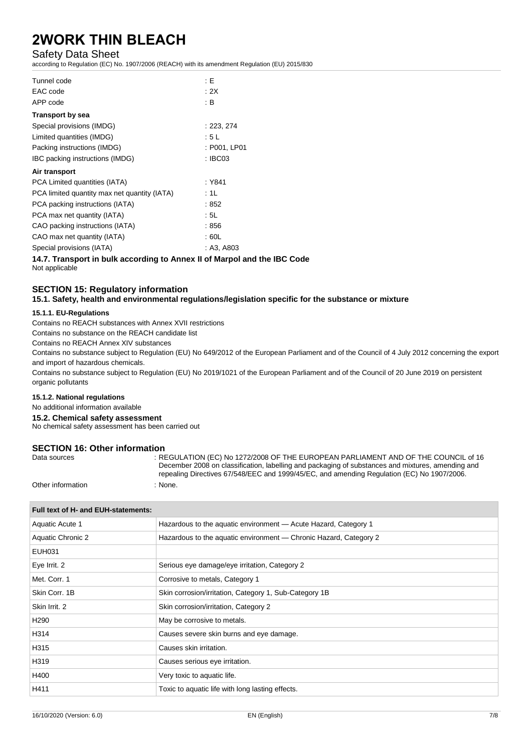### Safety Data Sheet

according to Regulation (EC) No. 1907/2006 (REACH) with its amendment Regulation (EU) 2015/830

| Tunnel code                                  | : E          |
|----------------------------------------------|--------------|
| EAC code                                     | : 2X         |
| APP code                                     | : B          |
| <b>Transport by sea</b>                      |              |
| Special provisions (IMDG)                    | : 223, 274   |
| Limited quantities (IMDG)                    | : 5 L        |
| Packing instructions (IMDG)                  | : P001, LP01 |
| IBC packing instructions (IMDG)              | : IBC03      |
| Air transport                                |              |
| PCA Limited quantities (IATA)                | : Y841       |
| PCA limited quantity max net quantity (IATA) | :1L          |
| PCA packing instructions (IATA)              | :852         |
| PCA max net quantity (IATA)                  | : 5L         |
| CAO packing instructions (IATA)              | :856         |
| CAO max net quantity (IATA)                  | : 60L        |
| Special provisions (IATA)                    | : A3, A803   |

**14.7. Transport in bulk according to Annex II of Marpol and the IBC Code** Not applicable

### **SECTION 15: Regulatory information**

**15.1. Safety, health and environmental regulations/legislation specific for the substance or mixture**

#### **15.1.1. EU-Regulations**

Contains no REACH substances with Annex XVII restrictions

Contains no substance on the REACH candidate list

Contains no REACH Annex XIV substances

Contains no substance subject to Regulation (EU) No 649/2012 of the European Parliament and of the Council of 4 July 2012 concerning the export and import of hazardous chemicals.

Contains no substance subject to Regulation (EU) No 2019/1021 of the European Parliament and of the Council of 20 June 2019 on persistent organic pollutants

#### **15.1.2. National regulations**

No additional information available

**15.2. Chemical safety assessment** 

No chemical safety assessment has been carried out

## **SECTION 16: Other information**<br>Data sources

: REGULATION (EC) No 1272/2008 OF THE EUROPEAN PARLIAMENT AND OF THE COUNCIL of 16 December 2008 on classification, labelling and packaging of substances and mixtures, amending and repealing Directives 67/548/EEC and 1999/45/EC, and amending Regulation (EC) No 1907/2006.

Other information : None.

| Full text of H- and EUH-statements: |                                                                   |  |
|-------------------------------------|-------------------------------------------------------------------|--|
| Aquatic Acute 1                     | Hazardous to the aquatic environment - Acute Hazard, Category 1   |  |
| Aquatic Chronic 2                   | Hazardous to the aquatic environment - Chronic Hazard, Category 2 |  |
| EUH031                              |                                                                   |  |
| Eye Irrit. 2                        | Serious eye damage/eye irritation, Category 2                     |  |
| Met. Corr. 1                        | Corrosive to metals, Category 1                                   |  |
| Skin Corr. 1B                       | Skin corrosion/irritation, Category 1, Sub-Category 1B            |  |
| Skin Irrit, 2                       | Skin corrosion/irritation, Category 2                             |  |
| H <sub>290</sub>                    | May be corrosive to metals.                                       |  |
| H314                                | Causes severe skin burns and eye damage.                          |  |
| H315                                | Causes skin irritation.                                           |  |
| H319                                | Causes serious eye irritation.                                    |  |
| H400                                | Very toxic to aquatic life.                                       |  |
| H411                                | Toxic to aquatic life with long lasting effects.                  |  |